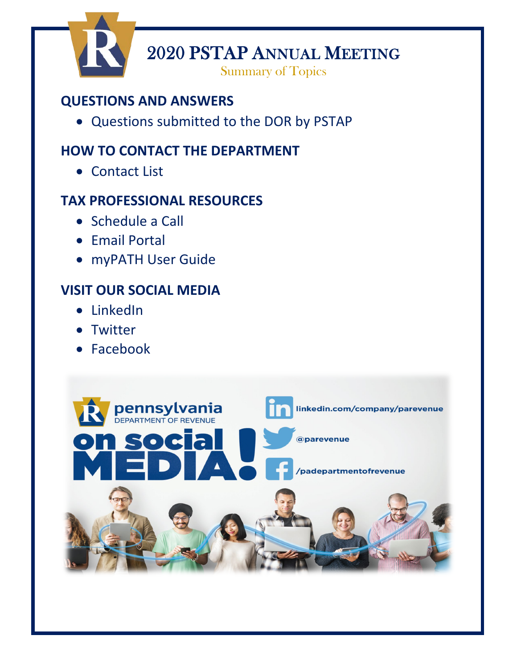

2020 PSTAP ANNUAL MEETING<br>Summary of Topics

# **QUESTIONS AND ANSWERS**

• [Questions submitted to the DOR by PSTAP](#page-1-0)

# **HOW TO CONTACT THE DEPARTMENT**

• Contact List

# **TAX PROFESSIONAL RESOURCES**

- Schedule a Call
- Email Portal
- myPATH User Guide

# **VISIT OUR SOCIAL MEDIA**

- LinkedIn
- Twitter
- Facebook

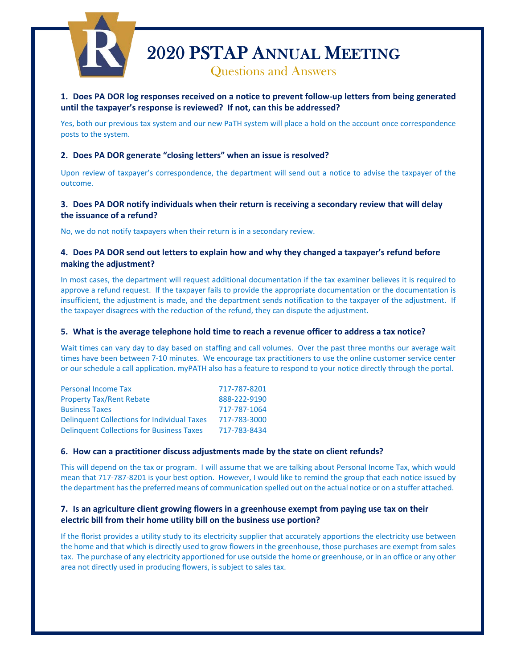<span id="page-1-0"></span>

# **1. Does PA DOR log responses received on a notice to prevent follow-up letters from being generated until the taxpayer's response is reviewed? If not, can this be addressed?**

Yes, both our previous tax system and our new PaTH system will place a hold on the account once correspondence posts to the system.

#### **2. Does PA DOR generate "closing letters" when an issue is resolved?**

Upon review of taxpayer's correspondence, the department will send out a notice to advise the taxpayer of the outcome.

## **3. Does PA DOR notify individuals when their return is receiving a secondary review that will delay the issuance of a refund?**

No, we do not notify taxpayers when their return is in a secondary review.

## **4. Does PA DOR send out letters to explain how and why they changed a taxpayer's refund before making the adjustment?**

In most cases, the department will request additional documentation if the tax examiner believes it is required to approve a refund request. If the taxpayer fails to provide the appropriate documentation or the documentation is insufficient, the adjustment is made, and the department sends notification to the taxpayer of the adjustment. If the taxpayer disagrees with the reduction of the refund, they can dispute the adjustment.

#### **5. What is the average telephone hold time to reach a revenue officer to address a tax notice?**

Wait times can vary day to day based on staffing and call volumes. Over the past three months our average wait times have been between 7-10 minutes. We encourage tax practitioners to use the online customer service center or our schedule a call application. myPATH also has a feature to respond to your notice directly through the portal.

| <b>Personal Income Tax</b>                         | 717-787-8201 |
|----------------------------------------------------|--------------|
| <b>Property Tax/Rent Rebate</b>                    | 888-222-9190 |
| <b>Business Taxes</b>                              | 717-787-1064 |
| <b>Delinguent Collections for Individual Taxes</b> | 717-783-3000 |
| <b>Delinquent Collections for Business Taxes</b>   | 717-783-8434 |

#### **6. How can a practitioner discuss adjustments made by the state on client refunds?**

This will depend on the tax or program. I will assume that we are talking about Personal Income Tax, which would mean that 717-787-8201 is your best option. However, I would like to remind the group that each notice issued by the department has the preferred means of communication spelled out on the actual notice or on a stuffer attached.

## **7. Is an agriculture client growing flowers in a greenhouse exempt from paying use tax on their electric bill from their home utility bill on the business use portion?**

If the florist provides a utility study to its electricity supplier that accurately apportions the electricity use between the home and that which is directly used to grow flowers in the greenhouse, those purchases are exempt from sales tax. The purchase of any electricity apportioned for use outside the home or greenhouse, or in an office or any other area not directly used in producing flowers, is subject to sales tax.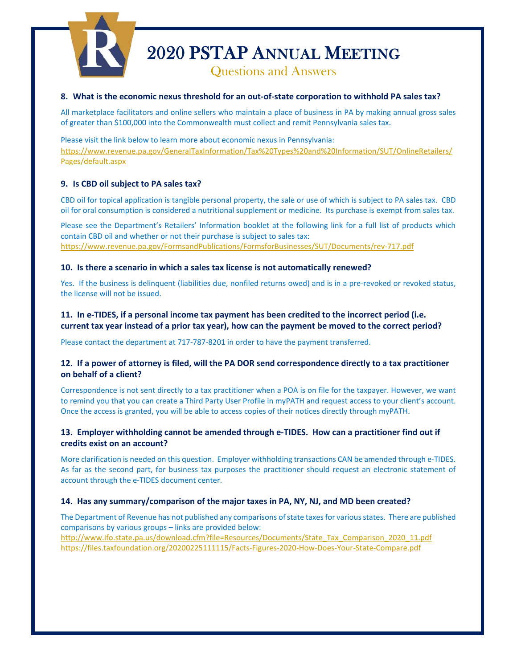

#### **8. What is the economic nexus threshold for an out-of-state corporation to withhold PA sales tax?**

All marketplace facilitators and online sellers who maintain a place of business in PA by making annual gross sales of greater than \$100,000 into the Commonwealth must collect and remit Pennsylvania sales tax.

Please visit the link below to learn more about economic nexus in Pennsylvania: [https://www.revenue.pa.gov/GeneralTaxInformation/Tax%20Types%20and%20Information/SUT/OnlineRetailers/](https://www.revenue.pa.gov/GeneralTaxInformation/Tax%20Types%20and%20Information/SUT/OnlineRetailers/Pages/default.aspx) [Pages/default.aspx](https://www.revenue.pa.gov/GeneralTaxInformation/Tax%20Types%20and%20Information/SUT/OnlineRetailers/Pages/default.aspx) 

#### **9. Is CBD oil subject to PA sales tax?**

CBD oil for topical application is tangible personal property, the sale or use of which is subject to PA sales tax. CBD oil for oral consumption is considered a nutritional supplement or medicine. Its purchase is exempt from sales tax.

Please see the Department's Retailers' Information booklet at the following link for a full list of products which contain CBD oil and whether or not their purchase is subject to sales tax: <https://www.revenue.pa.gov/FormsandPublications/FormsforBusinesses/SUT/Documents/rev-717.pdf>

#### **10. Is there a scenario in which a sales tax license is not automatically renewed?**

Yes. If the business is delinquent (liabilities due, nonfiled returns owed) and is in a pre-revoked or revoked status, the license will not be issued.

## **11. In e-TIDES, if a personal income tax payment has been credited to the incorrect period (i.e. current tax year instead of a prior tax year), how can the payment be moved to the correct period?**

Please contact the department at 717-787-8201 in order to have the payment transferred.

## **12. If a power of attorney is filed, will the PA DOR send correspondence directly to a tax practitioner on behalf of a client?**

Correspondence is not sent directly to a tax practitioner when a POA is on file for the taxpayer. However, we want to remind you that you can create a Third Party User Profile in myPATH and request access to your client's account. Once the access is granted, you will be able to access copies of their notices directly through myPATH.

## **13. Employer withholding cannot be amended through e-TIDES. How can a practitioner find out if credits exist on an account?**

More clarification is needed on this question. Employer withholding transactions CAN be amended through e-TIDES. As far as the second part, for business tax purposes the practitioner should request an electronic statement of account through the e-TIDES document center.

#### **14. Has any summary/comparison of the major taxes in PA, NY, NJ, and MD been created?**

The Department of Revenue has not published any comparisons of state taxes for various states. There are published comparisons by various groups – links are provided below: [http://www.ifo.state.pa.us/download.cfm?file=Resources/Documents/State\\_Tax\\_Comparison\\_2020\\_11.pdf](http://www.ifo.state.pa.us/download.cfm?file=Resources/Documents/State_Tax_Comparison_2020_11.pdf) <https://files.taxfoundation.org/20200225111115/Facts-Figures-2020-How-Does-Your-State-Compare.pdf>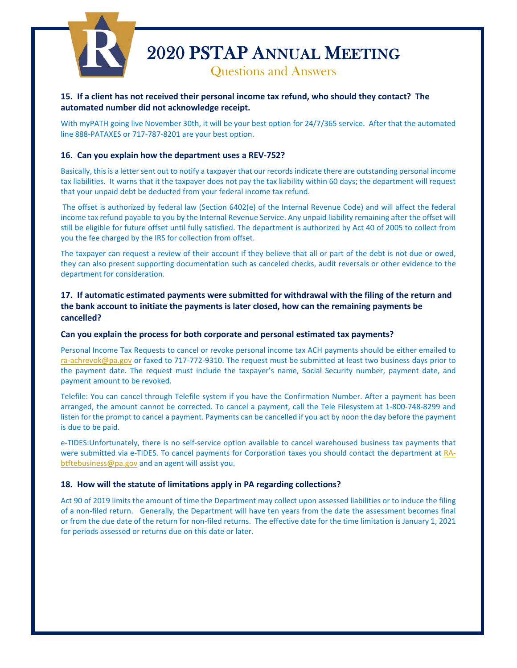

# **15. If a client has not received their personal income tax refund, who should they contact? The automated number did not acknowledge receipt.**

With myPATH going live November 30th, it will be your best option for 24/7/365 service. After that the automated line 888-PATAXES or 717-787-8201 are your best option.

#### **16. Can you explain how the department uses a REV-752?**

Basically, this is a letter sent out to notify a taxpayer that our records indicate there are outstanding personal income tax liabilities. It warns that it the taxpayer does not pay the tax liability within 60 days; the department will request that your unpaid debt be deducted from your federal income tax refund.

The offset is authorized by federal law (Section 6402(e) of the Internal Revenue Code) and will affect the federal income tax refund payable to you by the Internal Revenue Service. Any unpaid liability remaining after the offset will still be eligible for future offset until fully satisfied. The department is authorized by Act 40 of 2005 to collect from you the fee charged by the IRS for collection from offset.

The taxpayer can request a review of their account if they believe that all or part of the debt is not due or owed, they can also present supporting documentation such as canceled checks, audit reversals or other evidence to the department for consideration.

# **17. If automatic estimated payments were submitted for withdrawal with the filing of the return and the bank account to initiate the payments is later closed, how can the remaining payments be cancelled?**

#### **Can you explain the process for both corporate and personal estimated tax payments?**

Personal Income Tax Requests to cancel or revoke personal income tax ACH payments should be either emailed to [ra-achrevok@pa.gov](mailto:ra-achrevok@pa.gov) or faxed to 717-772-9310. The request must be submitted at least two business days prior to the payment date. The request must include the taxpayer's name, Social Security number, payment date, and payment amount to be revoked.

Telefile: You can cancel through Telefile system if you have the Confirmation Number. After a payment has been arranged, the amount cannot be corrected. To cancel a payment, call the Tele Filesystem at 1-800-748-8299 and listen for the prompt to cancel a payment. Payments can be cancelled if you act by noon the day before the payment is due to be paid.

e-TIDES:Unfortunately, there is no self-service option available to cancel warehoused business tax payments that were submitted via e-TIDES. To cancel payments for Corporation taxes you should contact the department a[t RA](mailto:RA-btftebusiness@pa.gov)[btftebusiness@pa.gov](mailto:RA-btftebusiness@pa.gov) and an agent will assist you.

#### **18. How will the statute of limitations apply in PA regarding collections?**

Act 90 of 2019 limits the amount of time the Department may collect upon assessed liabilities or to induce the filing of a non-filed return. Generally, the Department will have ten years from the date the assessment becomes final or from the due date of the return for non-filed returns. The effective date for the time limitation is January 1, 2021 for periods assessed or returns due on this date or later.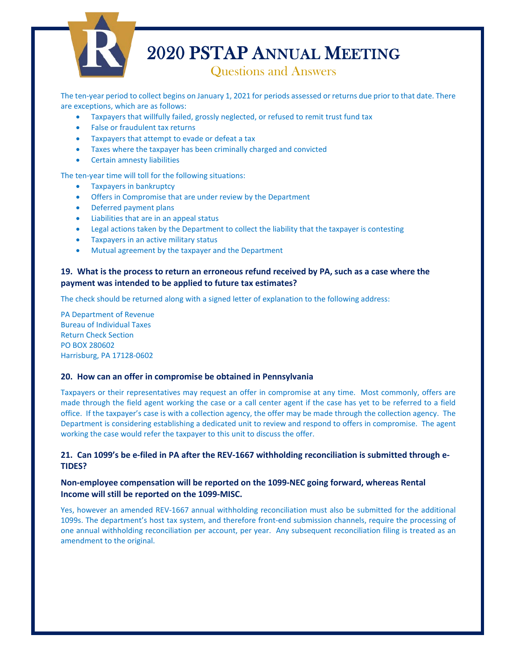

The ten-year period to collect begins on January 1, 2021 for periods assessed or returns due prior to that date. There are exceptions, which are as follows:

- Taxpayers that willfully failed, grossly neglected, or refused to remit trust fund tax
- False or fraudulent tax returns
- Taxpayers that attempt to evade or defeat a tax
- Taxes where the taxpayer has been criminally charged and convicted
- Certain amnesty liabilities

The ten-year time will toll for the following situations:

- Taxpayers in bankruptcy
- Offers in Compromise that are under review by the Department
- Deferred payment plans
- Liabilities that are in an appeal status
- Legal actions taken by the Department to collect the liability that the taxpayer is contesting
- Taxpayers in an active military status
- Mutual agreement by the taxpayer and the Department

## **19. What is the process to return an erroneous refund received by PA, such as a case where the payment was intended to be applied to future tax estimates?**

The check should be returned along with a signed letter of explanation to the following address:

PA Department of Revenue Bureau of Individual Taxes Return Check Section PO BOX 280602 Harrisburg, PA 17128-0602

#### **20. How can an offer in compromise be obtained in Pennsylvania**

Taxpayers or their representatives may request an offer in compromise at any time. Most commonly, offers are made through the field agent working the case or a call center agent if the case has yet to be referred to a field office. If the taxpayer's case is with a collection agency, the offer may be made through the collection agency. The Department is considering establishing a dedicated unit to review and respond to offers in compromise. The agent working the case would refer the taxpayer to this unit to discuss the offer.

## **21. Can 1099's be e-filed in PA after the REV-1667 withholding reconciliation is submitted through e-TIDES?**

# **Non-employee compensation will be reported on the 1099-NEC going forward, whereas Rental Income will still be reported on the 1099-MISC.**

Yes, however an amended REV-1667 annual withholding reconciliation must also be submitted for the additional 1099s. The department's host tax system, and therefore front-end submission channels, require the processing of one annual withholding reconciliation per account, per year. Any subsequent reconciliation filing is treated as an amendment to the original.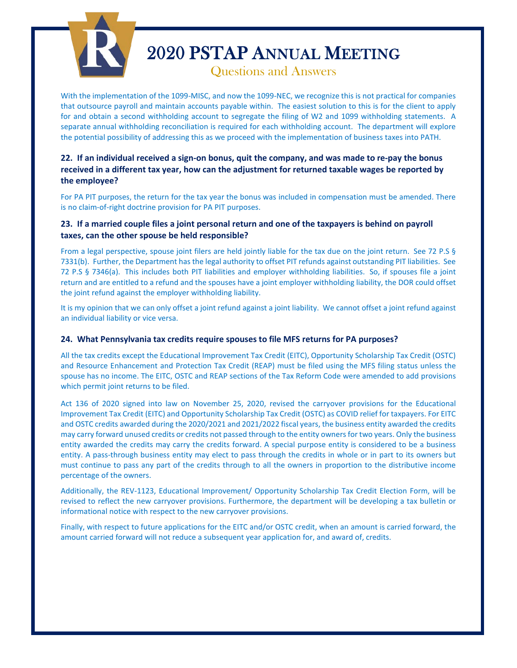

# 2020 PSTAP ANNUAL MEETING

With the implementation of the 1099-MISC, and now the 1099-NEC, we recognize this is not practical for companies that outsource payroll and maintain accounts payable within. The easiest solution to this is for the client to apply for and obtain a second withholding account to segregate the filing of W2 and 1099 withholding statements. A separate annual withholding reconciliation is required for each withholding account. The department will explore the potential possibility of addressing this as we proceed with the implementation of business taxes into PATH.

# **22. If an individual received a sign-on bonus, quit the company, and was made to re-pay the bonus received in a different tax year, how can the adjustment for returned taxable wages be reported by the employee?**

For PA PIT purposes, the return for the tax year the bonus was included in compensation must be amended. There is no claim-of-right doctrine provision for PA PIT purposes.

# **23. If a married couple files a joint personal return and one of the taxpayers is behind on payroll taxes, can the other spouse be held responsible?**

From a legal perspective, spouse joint filers are held jointly liable for the tax due on the joint return. See 72 P.S § 7331(b). Further, the Department has the legal authority to offset PIT refunds against outstanding PIT liabilities. See 72 P.S § 7346(a). This includes both PIT liabilities and employer withholding liabilities. So, if spouses file a joint return and are entitled to a refund and the spouses have a joint employer withholding liability, the DOR could offset the joint refund against the employer withholding liability.

It is my opinion that we can only offset a joint refund against a joint liability. We cannot offset a joint refund against an individual liability or vice versa.

## **24. What Pennsylvania tax credits require spouses to file MFS returns for PA purposes?**

All the tax credits except the Educational Improvement Tax Credit (EITC), Opportunity Scholarship Tax Credit (OSTC) and Resource Enhancement and Protection Tax Credit (REAP) must be filed using the MFS filing status unless the spouse has no income. The EITC, OSTC and REAP sections of the Tax Reform Code were amended to add provisions which permit joint returns to be filed.

Act 136 of 2020 signed into law on November 25, 2020, revised the carryover provisions for the Educational Improvement Tax Credit (EITC) and Opportunity Scholarship Tax Credit (OSTC) as COVID relief for taxpayers. For EITC and OSTC credits awarded during the 2020/2021 and 2021/2022 fiscal years, the business entity awarded the credits may carry forward unused credits or credits not passed through to the entity owners for two years. Only the business entity awarded the credits may carry the credits forward. A special purpose entity is considered to be a business entity. A pass-through business entity may elect to pass through the credits in whole or in part to its owners but must continue to pass any part of the credits through to all the owners in proportion to the distributive income percentage of the owners.

Additionally, the REV-1123, Educational Improvement/ Opportunity Scholarship Tax Credit Election Form, will be revised to reflect the new carryover provisions. Furthermore, the department will be developing a tax bulletin or informational notice with respect to the new carryover provisions.

Finally, with respect to future applications for the EITC and/or OSTC credit, when an amount is carried forward, the amount carried forward will not reduce a subsequent year application for, and award of, credits.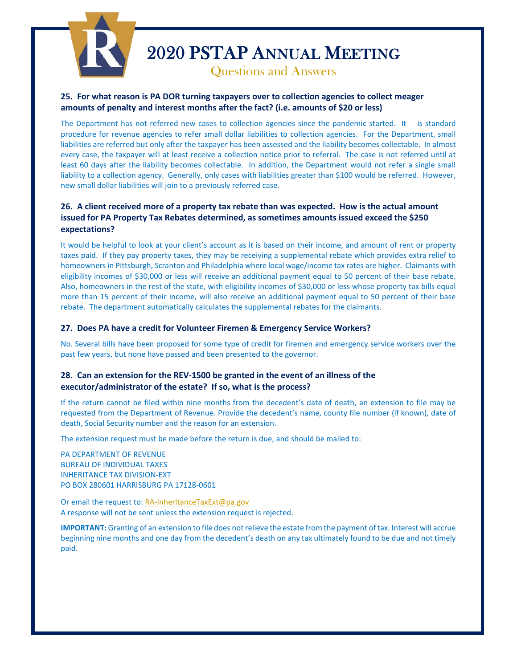

# **25. For what reason is PA DOR turning taxpayers over to collection agencies to collect meager amounts of penalty and interest months after the fact? (i.e. amounts of \$20 or less)**

The Department has not referred new cases to collection agencies since the pandemic started. It is standard procedure for revenue agencies to refer small dollar liabilities to collection agencies. For the Department, small liabilities are referred but only after the taxpayer has been assessed and the liability becomes collectable. In almost every case, the taxpayer will at least receive a collection notice prior to referral. The case is not referred until at least 60 days after the liability becomes collectable. In addition, the Department would not refer a single small liability to a collection agency. Generally, only cases with liabilities greater than \$100 would be referred. However, new small dollar liabilities will join to a previously referred case.

# **26. A client received more of a property tax rebate than was expected. How is the actual amount issued for PA Property Tax Rebates determined, as sometimes amounts issued exceed the \$250 expectations?**

It would be helpful to look at your client's account as it is based on their income, and amount of rent or property taxes paid. If they pay property taxes, they may be receiving a supplemental rebate which provides extra relief to homeowners in Pittsburgh, Scranton and Philadelphia where local wage/income tax rates are higher. Claimants with eligibility incomes of \$30,000 or less will receive an additional payment equal to 50 percent of their base rebate. Also, homeowners in the rest of the state, with eligibility incomes of \$30,000 or less whose property tax bills equal more than 15 percent of their income, will also receive an additional payment equal to 50 percent of their base rebate. The department automatically calculates the supplemental rebates for the claimants.

#### **27. Does PA have a credit for Volunteer Firemen & Emergency Service Workers?**

No. Several bills have been proposed for some type of credit for firemen and emergency service workers over the past few years, but none have passed and been presented to the governor.

## **28. Can an extension for the REV-1500 be granted in the event of an illness of the executor/administrator of the estate? If so, what is the process?**

If the return cannot be filed within nine months from the decedent's date of death, an extension to file may be requested from the Department of Revenue. Provide the decedent's name, county file number (if known), date of death, Social Security number and the reason for an extension.

The extension request must be made before the return is due, and should be mailed to:

PA DEPARTMENT OF REVENUE BUREAU OF INDIVIDUAL TAXES INHERITANCE TAX DIVISION-EXT PO BOX 280601 HARRISBURG PA 17128-0601

Or email the request to: [RA-InheritanceTaxExt@pa.gov](mailto:RA-InheritanceTaxExt@pa.gov) A response will not be sent unless the extension request is rejected.

**IMPORTANT:** Granting of an extension to file does not relieve the estate from the payment of tax. Interest will accrue beginning nine months and one day from the decedent's death on any tax ultimately found to be due and not timely paid.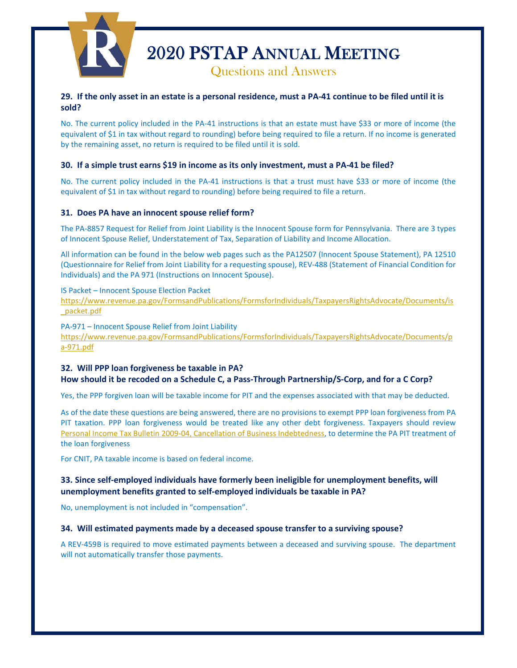

## **29. If the only asset in an estate is a personal residence, must a PA-41 continue to be filed until it is sold?**

No. The current policy included in the PA-41 instructions is that an estate must have \$33 or more of income (the equivalent of \$1 in tax without regard to rounding) before being required to file a return. If no income is generated by the remaining asset, no return is required to be filed until it is sold.

#### **30. If a simple trust earns \$19 in income as its only investment, must a PA-41 be filed?**

No. The current policy included in the PA-41 instructions is that a trust must have \$33 or more of income (the equivalent of \$1 in tax without regard to rounding) before being required to file a return.

#### **31. Does PA have an innocent spouse relief form?**

The PA-8857 Request for Relief from Joint Liability is the Innocent Spouse form for Pennsylvania. There are 3 types of Innocent Spouse Relief, Understatement of Tax, Separation of Liability and Income Allocation.

All information can be found in the below web pages such as the PA12507 (Innocent Spouse Statement), PA 12510 (Questionnaire for Relief from Joint Liability for a requesting spouse), REV-488 (Statement of Financial Condition for Individuals) and the PA 971 (Instructions on Innocent Spouse).

#### IS Packet – Innocent Spouse Election Packet

[https://www.revenue.pa.gov/FormsandPublications/FormsforIndividuals/TaxpayersRightsAdvocate/Documents/is](https://www.revenue.pa.gov/FormsandPublications/FormsforIndividuals/TaxpayersRightsAdvocate/Documents/is_packet.pdf) [\\_packet.pdf](https://www.revenue.pa.gov/FormsandPublications/FormsforIndividuals/TaxpayersRightsAdvocate/Documents/is_packet.pdf)

PA-971 – Innocent Spouse Relief from Joint Liability [https://www.revenue.pa.gov/FormsandPublications/FormsforIndividuals/TaxpayersRightsAdvocate/Documents/p](https://www.revenue.pa.gov/FormsandPublications/FormsforIndividuals/TaxpayersRightsAdvocate/Documents/pa-971.pdf) [a-971.pdf](https://www.revenue.pa.gov/FormsandPublications/FormsforIndividuals/TaxpayersRightsAdvocate/Documents/pa-971.pdf) 

## **32. Will PPP loan forgiveness be taxable in PA? How should it be recoded on a Schedule C, a Pass-Through Partnership/S-Corp, and for a C Corp?**

Yes, the PPP forgiven loan will be taxable income for PIT and the expenses associated with that may be deducted.

As of the date these questions are being answered, there are no provisions to exempt PPP loan forgiveness from PA PIT taxation. PPP loan forgiveness would be treated like any other debt forgiveness. Taxpayers should review [Personal Income Tax Bulletin 2009-04, Cancellation of Business Indebtedness,](https://www.revenue.pa.gov/GeneralTaxInformation/TaxLawPoliciesBulletinsNotices/TaxBulletins/PIT/Documents/pit_bulletin_2009-04.pdf) to determine the PA PIT treatment of the loan forgiveness

For CNIT, PA taxable income is based on federal income.

## **33. Since self-employed individuals have formerly been ineligible for unemployment benefits, will unemployment benefits granted to self-employed individuals be taxable in PA?**

No, unemployment is not included in "compensation".

#### **34. Will estimated payments made by a deceased spouse transfer to a surviving spouse?**

A REV-459B is required to move estimated payments between a deceased and surviving spouse. The department will not automatically transfer those payments.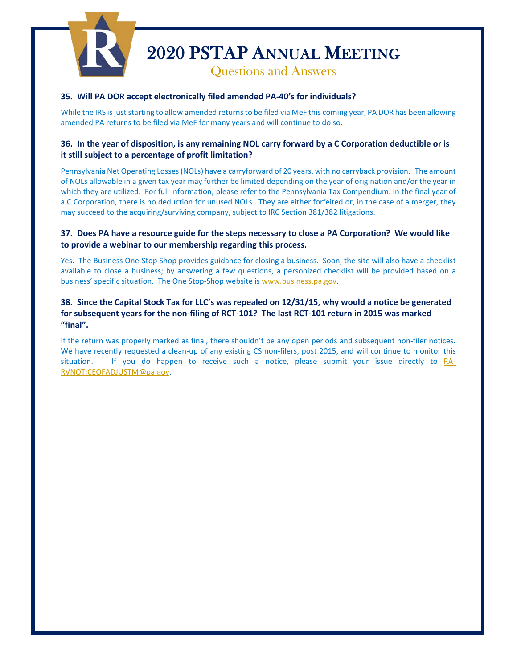

#### **35. Will PA DOR accept electronically filed amended PA-40's for individuals?**

While the IRS is just starting to allow amended returns to be filed via MeF this coming year, PA DOR has been allowing amended PA returns to be filed via MeF for many years and will continue to do so.

# **36. In the year of disposition, is any remaining NOL carry forward by a C Corporation deductible or is it still subject to a percentage of profit limitation?**

Pennsylvania Net Operating Losses (NOLs) have a carryforward of 20 years, with no carryback provision. The amount of NOLs allowable in a given tax year may further be limited depending on the year of origination and/or the year in which they are utilized. For full information, please refer to the Pennsylvania Tax Compendium. In the final year of a C Corporation, there is no deduction for unused NOLs. They are either forfeited or, in the case of a merger, they may succeed to the acquiring/surviving company, subject to IRC Section 381/382 litigations.

## **37. Does PA have a resource guide for the steps necessary to close a PA Corporation? We would like to provide a webinar to our membership regarding this process.**

Yes. The Business One-Stop Shop provides guidance for closing a business. Soon, the site will also have a checklist available to close a business; by answering a few questions, a personized checklist will be provided based on a business' specific situation. The One Stop-Shop website is [www.business.pa.gov.](http://www.business.pa.gov/)

# **38. Since the Capital Stock Tax for LLC's was repealed on 12/31/15, why would a notice be generated for subsequent years for the non-filing of RCT-101? The last RCT-101 return in 2015 was marked "final".**

If the return was properly marked as final, there shouldn't be any open periods and subsequent non-filer notices. We have recently requested a clean-up of any existing CS non-filers, post 2015, and will continue to monitor this situation. If you do happen to receive such a notice, please submit your issue directly to [RA-](mailto:RA-RVNOTICEOFADJUSTM@pa.gov)[RVNOTICEOFADJUSTM@pa.gov.](mailto:RA-RVNOTICEOFADJUSTM@pa.gov)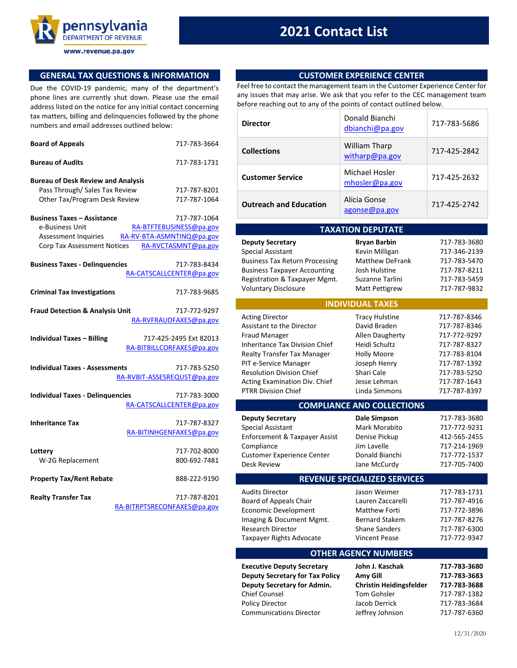

www.revenue.pa.gov

# **2021 Contact List**

# **GENERAL TAX QUESTIONS & INFORMATION**

Due the COVID-19 pandemic, many of the department's phone lines are currently shut down. Please use the email address listed on the notice for any initial contact concerning tax matters, billing and delinquencies followed by the phone numbers and email addresses outlined below:

| <b>Board of Appeals</b>                    | 717-783-3664                |
|--------------------------------------------|-----------------------------|
| <b>Bureau of Audits</b>                    | 717-783-1731                |
| <b>Bureau of Desk Review and Analysis</b>  |                             |
| Pass Through/ Sales Tax Review             | 717-787-8201                |
| Other Tax/Program Desk Review              | 717-787-1064                |
| <b>Business Taxes - Assistance</b>         | 717-787-1064                |
| e-Business Unit                            | RA-BTFTEBUSINESS@pa.gov     |
| <b>Assessment Inquiries</b>                | RA-RV-BTA-ASMNTINQ@pa.gov   |
| Corp Tax Assessment Notices                | RA-RVCTASMNT@pa.gov         |
| <b>Business Taxes - Delinquencies</b>      | 717-783-8434                |
|                                            | RA-CATSCALLCENTER@pa.gov    |
|                                            |                             |
| <b>Criminal Tax Investigations</b>         | 717-783-9685                |
| <b>Fraud Detection &amp; Analysis Unit</b> | 717-772-9297                |
|                                            | RA-RVFRAUDFAXES@pa.gov      |
| <b>Individual Taxes - Billing</b>          | 717-425-2495 Ext 82013      |
|                                            | RA-BITBILLCORFAXES@pa.gov   |
|                                            |                             |
| <b>Individual Taxes - Assessments</b>      | 717-783-5250                |
|                                            | RA-RVBIT-ASSESREQUST@pa.gov |
| <b>Individual Taxes - Delinguencies</b>    | 717-783-3000                |
|                                            | RA-CATSCALLCENTER@pa.gov    |
| <b>Inheritance Tax</b>                     | 717-787-8327                |
|                                            | RA-BITINHGENFAXES@pa.gov    |
|                                            |                             |
| Lottery                                    | 717-702-8000                |
| W-2G Replacement                           | 800-692-7481                |
| <b>Property Tax/Rent Rebate</b>            | 888-222-9190                |
| <b>Realty Transfer Tax</b>                 | 717-787-8201                |

| ıх | 717-787-8201                |
|----|-----------------------------|
|    | RA-BITRPTSRECONFAXES@pa.gov |

#### **CUSTOMER EXPERIENCE CENTER**

Feel free to contact the management team in the Customer Experience Center for any issues that may arise. We ask that you refer to the CEC management team before reaching out to any of the points of contact outlined below.

| <b>Director</b>               | Donald Bianchi<br>dbianchi@pa.gov   | 717-783-5686 |
|-------------------------------|-------------------------------------|--------------|
| <b>Collections</b>            | William Tharp<br>witharp@pa.gov     | 717-425-2842 |
| <b>Customer Service</b>       | Michael Hosler<br>$m$ hosler@pa.gov | 717-425-2632 |
| <b>Outreach and Education</b> | Alicia Gonse<br>agonse@pa.gov       | 717-425-2742 |

| <b>TAXATION DEPUTATE</b>                                                                                                                                                                                                                                                        |                                                                                                                                                                |                                                                                                                                              |  |
|---------------------------------------------------------------------------------------------------------------------------------------------------------------------------------------------------------------------------------------------------------------------------------|----------------------------------------------------------------------------------------------------------------------------------------------------------------|----------------------------------------------------------------------------------------------------------------------------------------------|--|
| <b>Deputy Secretary</b><br><b>Special Assistant</b><br><b>Business Tax Return Processing</b><br><b>Business Taxpayer Accounting</b><br>Registration & Taxpayer Mgmt.<br><b>Voluntary Disclosure</b>                                                                             | <b>Bryan Barbin</b><br>Kevin Milligan<br><b>Matthew DeFrank</b><br><b>Josh Hulstine</b><br>Suzanne Tarlini<br>Matt Pettigrew                                   | 717-783-3680<br>717-346-2139<br>717-783-5470<br>717-787-8211<br>717-783-5459<br>717-787-9832                                                 |  |
|                                                                                                                                                                                                                                                                                 | <b>INDIVIDUAL TAXES</b>                                                                                                                                        |                                                                                                                                              |  |
| <b>Acting Director</b><br>Assistant to the Director<br><b>Fraud Manager</b><br><b>Inheritance Tax Division Chief</b><br>Realty Transfer Tax Manager<br>PIT e-Service Manager<br><b>Resolution Division Chief</b><br>Acting Examination Div. Chief<br><b>PTRR Division Chief</b> | <b>Tracy Hulstine</b><br>David Braden<br>Allen Daugherty<br>Heidi Schultz<br><b>Holly Moore</b><br>Joseph Henry<br>Shari Cale<br>Jesse Lehman<br>Linda Simmons | 717-787-8346<br>717-787-8346<br>717-772-9297<br>717-787-8327<br>717-783-8104<br>717-787-1392<br>717-783-5250<br>717-787-1643<br>717-787-8397 |  |
|                                                                                                                                                                                                                                                                                 | <b>COMPLIANCE AND COLLECTIONS</b>                                                                                                                              |                                                                                                                                              |  |
|                                                                                                                                                                                                                                                                                 |                                                                                                                                                                |                                                                                                                                              |  |
| <b>Deputy Secretary</b><br><b>Special Assistant</b><br>Enforcement & Taxpayer Assist<br>Compliance<br><b>Customer Experience Center</b><br><b>Desk Review</b>                                                                                                                   | Dale Simpson<br>Mark Morabito<br>Denise Pickup<br>Jim Lavelle<br>Donald Bianchi<br>Jane McCurdy                                                                | 717-783-3680<br>717-772-9231<br>412-565-2455<br>717-214-1969<br>717-772-1537<br>717-705-7400                                                 |  |
|                                                                                                                                                                                                                                                                                 | <b>REVENUE SPECIALIZED SERVICES</b>                                                                                                                            |                                                                                                                                              |  |
| <b>Audits Director</b><br>Board of Appeals Chair<br>Economic Development<br>Imaging & Document Mgmt.<br><b>Research Director</b><br>Taxpayer Rights Advocate                                                                                                                    | Jason Weimer<br>Lauren Zaccarelli<br><b>Matthew Forti</b><br><b>Bernard Stakem</b><br><b>Shane Sanders</b><br><b>Vincent Pease</b>                             | 717-783-1731<br>717-787-4916<br>717-772-3896<br>717-787-8276<br>717-787-6300<br>717-772-9347                                                 |  |
|                                                                                                                                                                                                                                                                                 | <b>OTHER AGENCY NUMBERS</b>                                                                                                                                    |                                                                                                                                              |  |

| <b>Deputy Secretary for Tax Policy</b> | Amy Gill                       | 717-783-3683 |
|----------------------------------------|--------------------------------|--------------|
| Deputy Secretary for Admin.            | <b>Christin Heidingsfelder</b> | 717-783-3688 |
| <b>Chief Counsel</b>                   | Tom Gohsler                    | 717-787-1382 |
| <b>Policy Director</b>                 | Jacob Derrick                  | 717-783-3684 |
| <b>Communications Director</b>         | Jeffrey Johnson                | 717-787-6360 |

| <b>Deputy Secretary for Tax Policy</b> | Amy Gill                       | 717-783-3683 |
|----------------------------------------|--------------------------------|--------------|
| Deputy Secretary for Admin.            | <b>Christin Heidingsfelder</b> | 717-783-3688 |
| Chief Counsel                          | Tom Gohsler                    | 717-787-1382 |
| Policy Director                        | Jacob Derrick                  | 717-783-3684 |
| <b>Communications Director</b>         | Jeffrey Johnson                | 717-787-6360 |
|                                        |                                |              |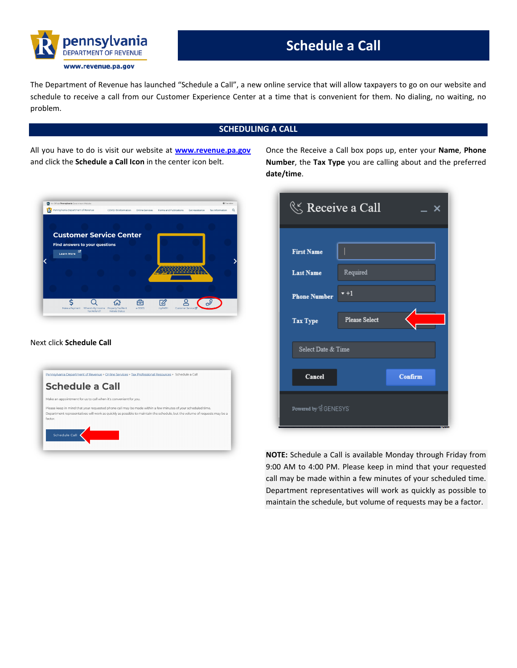

# **Schedule a Call**

The Department of Revenue has launched "Schedule a Call", a new online service that will allow taxpayers to go on our website and schedule to receive a call from our Customer Experience Center at a time that is convenient for them. No dialing, no waiting, no problem.

# **SCHEDULING A CALL**

All you have to do is visit our website at **[www.revenue.pa.gov](http://www.revenue.pa.gov/)** and click the **Schedule a Call Icon** in the center icon belt.



#### Next click **Schedule Call**

| Pennsylvania Department of Revenue > Online Services > Tax Professional Resources > Schedule a Call                                                                                                                                                 |  |
|-----------------------------------------------------------------------------------------------------------------------------------------------------------------------------------------------------------------------------------------------------|--|
| Schedule a Call                                                                                                                                                                                                                                     |  |
| Make an appointment for us to call when it's convenient for you.                                                                                                                                                                                    |  |
| Please keep in mind that your requested phone call may be made within a few minutes of your scheduled time.<br>Department representatives will work as quickly as possible to maintain the schedule, but the volume of requests may be a<br>factor. |  |
| <b>Schedule Call</b>                                                                                                                                                                                                                                |  |
|                                                                                                                                                                                                                                                     |  |

Once the Receive a Call box pops up, enter your **Name**, **Phone Number**, the **Tax Type** you are calling about and the preferred **date/time**.

| $\ll$ Receive a Call  |                      |
|-----------------------|----------------------|
|                       |                      |
| <b>First Name</b>     |                      |
| <b>Last Name</b>      | Required             |
| <b>Phone Number</b>   | $+1$                 |
| Tax Type              | <b>Please Select</b> |
| Select Date & Time    |                      |
| Cancel                | Confirm              |
| Powered by ੳ GENESYS' |                      |

**NOTE:** Schedule a Call is available Monday through Friday from 9:00 AM to 4:00 PM. Please keep in mind that your requested call may be made within a few minutes of your scheduled time. Department representatives will work as quickly as possible to maintain the schedule, but volume of requests may be a factor.